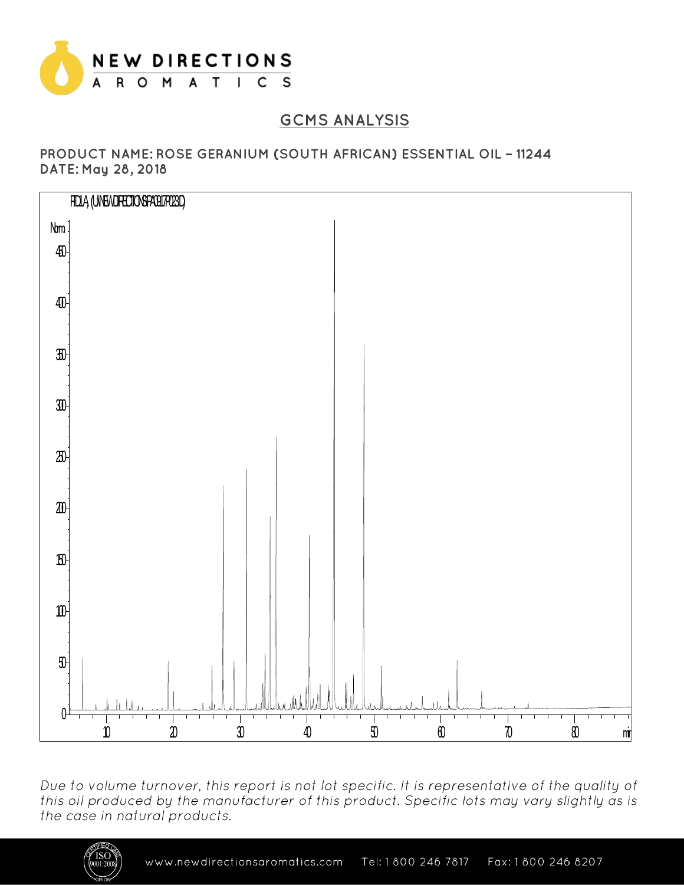

## **GCMS ANALYSIS**

PRODUCT NAME: ROSE GERANIUM (SOUTH AFRICAN) ESSENTIAL OIL - 11244 DATE: May 28, 2018



Due to volume turnover, this report is not lot specific. It is representative of the quality of this oil produced by the manufacturer of this product. Specific lots may vary slightly as is the case in natural products.

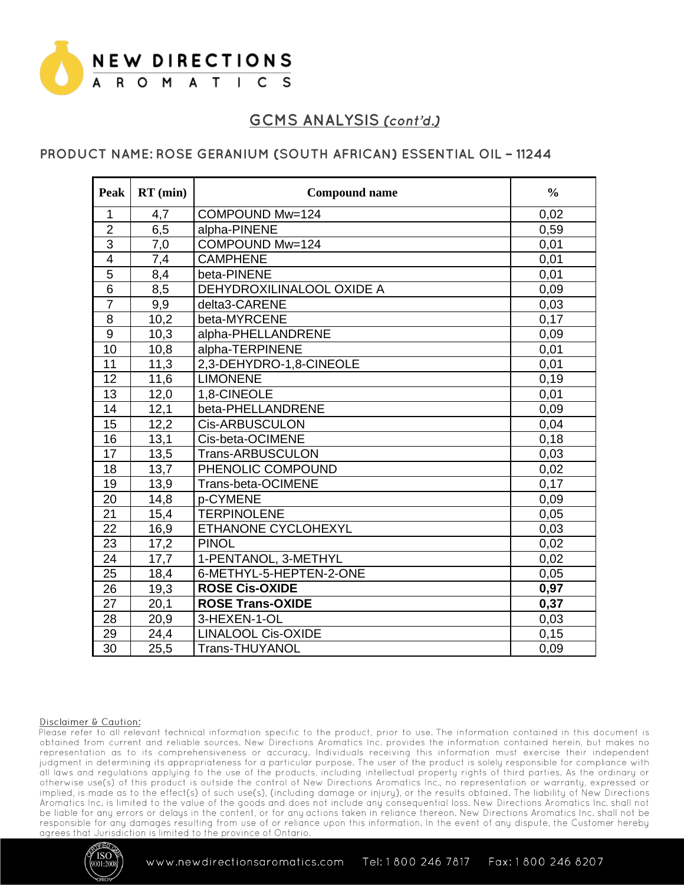

## PRODUCT NAME: ROSE GERANIUM (SOUTH AFRICAN) ESSENTIAL OIL - 11244

| Peak             | $RT$ (min) | <b>Compound name</b>      | $\frac{0}{0}$ |
|------------------|------------|---------------------------|---------------|
| $\mathbf 1$      | 4,7        | COMPOUND Mw=124           | 0,02          |
| $\overline{2}$   | 6,5        | alpha-PINENE              | 0,59          |
| $\overline{3}$   | 7,0        | COMPOUND Mw=124           | 0,01          |
| $\overline{4}$   | 7,4        | <b>CAMPHENE</b>           | 0,01          |
| 5                | 8,4        | beta-PINENE               | 0,01          |
| $\overline{6}$   | 8,5        | DEHYDROXILINALOOL OXIDE A | 0,09          |
| $\overline{7}$   | 9,9        | delta3-CARENE             | 0,03          |
| 8                | 10,2       | beta-MYRCENE              | 0,17          |
| $\boldsymbol{9}$ | 10,3       | alpha-PHELLANDRENE        | 0,09          |
| 10               | 10,8       | alpha-TERPINENE           | 0,01          |
| 11               | 11,3       | 2,3-DEHYDRO-1,8-CINEOLE   | 0,01          |
| 12               | 11,6       | <b>LIMONENE</b>           | 0,19          |
| 13               | 12,0       | 1,8-CINEOLE               | 0,01          |
| 14               | 12,1       | beta-PHELLANDRENE         | 0,09          |
| 15               | 12,2       | <b>Cis-ARBUSCULON</b>     | 0,04          |
| 16               | 13,1       | Cis-beta-OCIMENE          | 0,18          |
| 17               | 13,5       | <b>Trans-ARBUSCULON</b>   | 0,03          |
| 18               | 13,7       | PHENOLIC COMPOUND         | 0,02          |
| 19               | 13,9       | Trans-beta-OCIMENE        | 0,17          |
| 20               | 14,8       | p-CYMENE                  | 0,09          |
| 21               | 15,4       | <b>TERPINOLENE</b>        | 0,05          |
| 22               | 16,9       | ETHANONE CYCLOHEXYL       | 0,03          |
| $\overline{23}$  | 17,2       | <b>PINOL</b>              | 0,02          |
| 24               | 17,7       | 1-PENTANOL, 3-METHYL      | 0,02          |
| $\overline{25}$  | 18,4       | 6-METHYL-5-HEPTEN-2-ONE   | 0,05          |
| 26               | 19,3       | <b>ROSE Cis-OXIDE</b>     | 0,97          |
| 27               | 20,1       | <b>ROSE Trans-OXIDE</b>   | 0,37          |
| 28               | 20,9       | 3-HEXEN-1-OL              | 0,03          |
| 29               | 24,4       | <b>LINALOOL Cis-OXIDE</b> | 0,15          |
| 30               | 25,5       | <b>Trans-THUYANOL</b>     | 0,09          |

### Disclaimer & Caution:

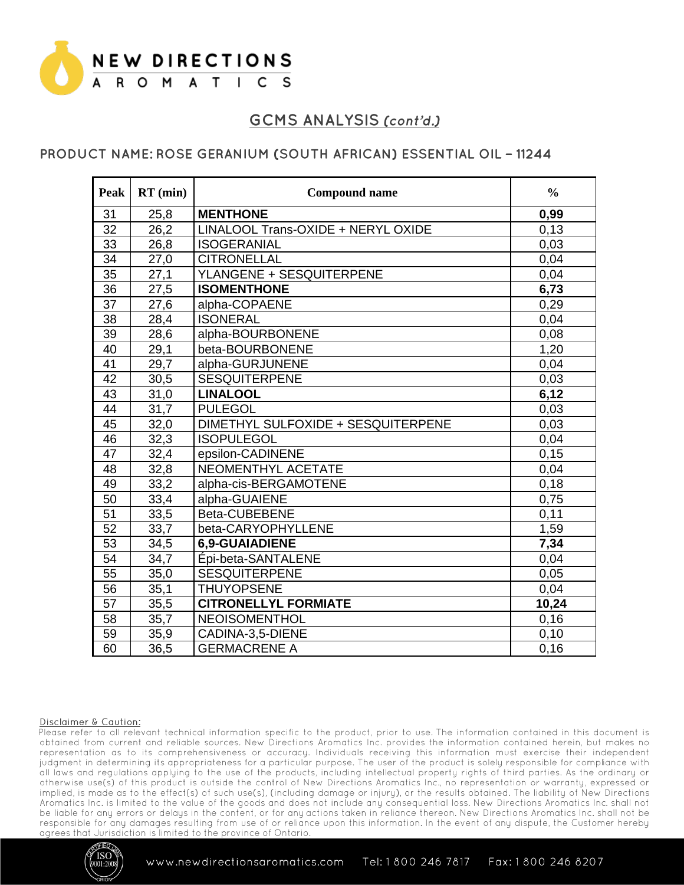

## PRODUCT NAME: ROSE GERANIUM (SOUTH AFRICAN) ESSENTIAL OIL - 11244

| Peak            | $RT$ (min) | <b>Compound name</b>               | $\frac{0}{0}$ |
|-----------------|------------|------------------------------------|---------------|
| 31              | 25,8       | <b>MENTHONE</b>                    | 0,99          |
| 32              | 26,2       | LINALOOL Trans-OXIDE + NERYL OXIDE | 0,13          |
| $\overline{33}$ | 26,8       | <b>ISOGERANIAL</b>                 | 0,03          |
| 34              | 27,0       | <b>CITRONELLAL</b>                 | 0,04          |
| 35              | 27,1       | YLANGENE + SESQUITERPENE           | 0,04          |
| 36              | 27,5       | <b>ISOMENTHONE</b>                 | 6,73          |
| 37              | 27,6       | alpha-COPAENE                      | 0,29          |
| 38              | 28,4       | <b>ISONERAL</b>                    | 0,04          |
| 39              | 28,6       | alpha-BOURBONENE                   | 0,08          |
| 40              | 29,1       | beta-BOURBONENE                    | 1,20          |
| 41              | 29,7       | alpha-GURJUNENE                    | 0,04          |
| 42              | 30,5       | <b>SESQUITERPENE</b>               | 0,03          |
| 43              | 31,0       | <b>LINALOOL</b>                    | 6,12          |
| 44              | 31,7       | <b>PULEGOL</b>                     | 0,03          |
| 45              | 32,0       | DIMETHYL SULFOXIDE + SESQUITERPENE | 0,03          |
| 46              | 32,3       | <b>ISOPULEGOL</b>                  | 0,04          |
| 47              | 32,4       | epsilon-CADINENE                   | 0,15          |
| 48              | 32,8       | NEOMENTHYL ACETATE                 | 0,04          |
| 49              | 33,2       | alpha-cis-BERGAMOTENE              | 0,18          |
| 50              | 33,4       | alpha-GUAIENE                      | 0,75          |
| 51              | 33,5       | Beta-CUBEBENE                      | 0,11          |
| 52              | 33,7       | beta-CARYOPHYLLENE                 | 1,59          |
| 53              | 34,5       | <b>6.9-GUAIADIENE</b>              | 7,34          |
| 54              | 34,7       | Épi-beta-SANTALENE                 | 0,04          |
| 55              | 35,0       | <b>SESQUITERPENE</b>               | 0,05          |
| 56              | 35,1       | <b>THUYOPSENE</b>                  | 0,04          |
| 57              | 35,5       | <b>CITRONELLYL FORMIATE</b>        | 10,24         |
| 58              | 35,7       | <b>NEOISOMENTHOL</b>               | 0,16          |
| 59              | 35,9       | CADINA-3,5-DIENE                   | 0,10          |
| 60              | 36,5       | <b>GERMACRENE A</b>                | 0,16          |

### Disclaimer & Caution:

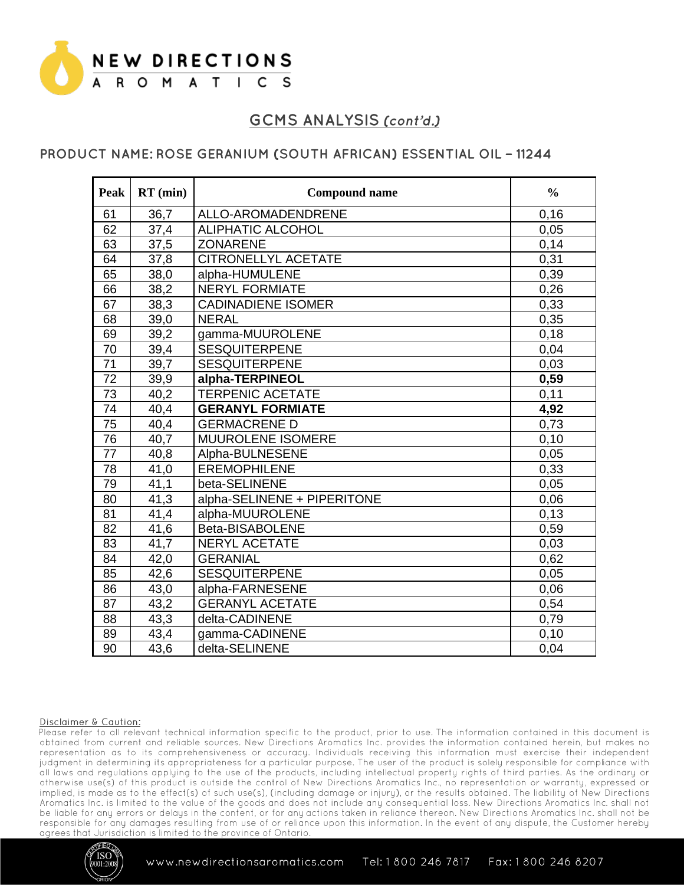

### PRODUCT NAME: ROSE GERANIUM (SOUTH AFRICAN) ESSENTIAL OIL - 11244

| Peak            | $RT$ (min) | <b>Compound name</b>        | $\frac{0}{0}$ |
|-----------------|------------|-----------------------------|---------------|
| 61              | 36,7       | ALLO-AROMADENDRENE          | 0, 16         |
| 62              | 37,4       | <b>ALIPHATIC ALCOHOL</b>    | 0,05          |
| 63              | 37,5       | <b>ZONARENE</b>             | 0,14          |
| 64              | 37,8       | <b>CITRONELLYL ACETATE</b>  | 0,31          |
| 65              | 38,0       | alpha-HUMULENE              | 0,39          |
| 66              | 38,2       | <b>NERYL FORMIATE</b>       | 0,26          |
| 67              | 38,3       | <b>CADINADIENE ISOMER</b>   | 0,33          |
| 68              | 39,0       | <b>NERAL</b>                | 0,35          |
| 69              | 39,2       | gamma-MUUROLENE             | 0,18          |
| 70              | 39,4       | <b>SESQUITERPENE</b>        | 0,04          |
| $\overline{71}$ | 39,7       | <b>SESQUITERPENE</b>        | 0,03          |
| $\overline{72}$ | 39,9       | alpha-TERPINEOL             | 0,59          |
| 73              | 40,2       | <b>TERPENIC ACETATE</b>     | 0,11          |
| 74              | 40,4       | <b>GERANYL FORMIATE</b>     | 4,92          |
| $\overline{75}$ | 40,4       | <b>GERMACRENE D</b>         | 0,73          |
| $\overline{76}$ | 40,7       | MUUROLENE ISOMERE           | 0,10          |
| 77              | 40,8       | Alpha-BULNESENE             | 0,05          |
| 78              | 41,0       | <b>EREMOPHILENE</b>         | 0,33          |
| 79              | 41,1       | beta-SELINENE               | 0,05          |
| 80              | 41,3       | alpha-SELINENE + PIPERITONE | 0,06          |
| 81              | 41,4       | alpha-MUUROLENE             | 0,13          |
| 82              | 41,6       | Beta-BISABOLENE             | 0,59          |
| 83              | 41,7       | <b>NERYL ACETATE</b>        | 0,03          |
| 84              | 42,0       | <b>GERANIAL</b>             | 0,62          |
| 85              | 42,6       | <b>SESQUITERPENE</b>        | 0,05          |
| 86              | 43,0       | alpha-FARNESENE             | 0,06          |
| 87              | 43,2       | <b>GERANYL ACETATE</b>      | 0,54          |
| 88              | 43,3       | delta-CADINENE              | 0,79          |
| 89              | 43,4       | gamma-CADINENE              | 0,10          |
| 90              | 43,6       | delta-SELINENE              | 0,04          |

### Disclaimer & Caution:

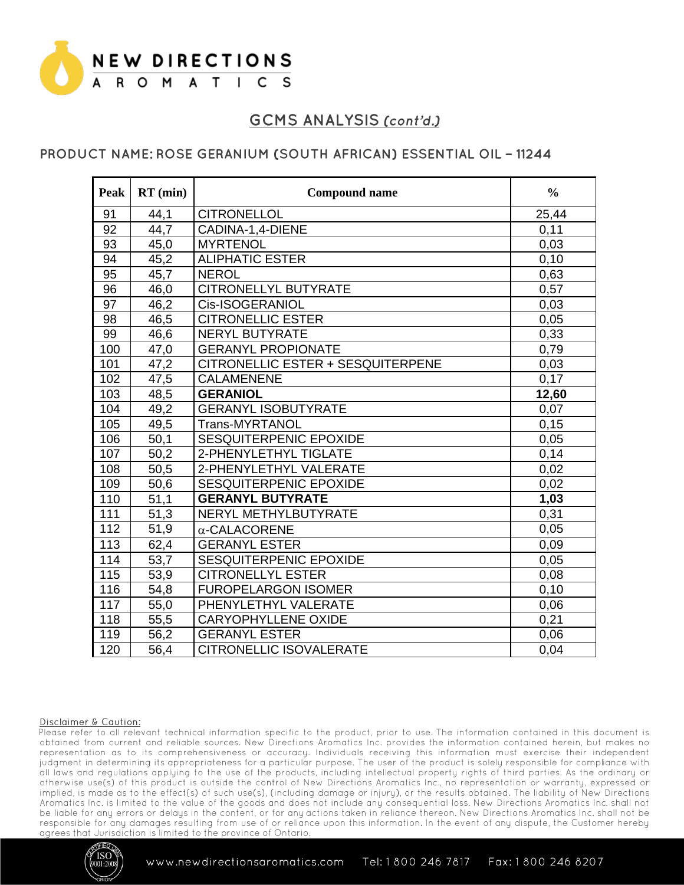

### PRODUCT NAME: ROSE GERANIUM (SOUTH AFRICAN) ESSENTIAL OIL - 11244

| Peak | $RT$ (min) | <b>Compound name</b>                     | $\frac{0}{0}$ |
|------|------------|------------------------------------------|---------------|
| 91   | 44,1       | <b>CITRONELLOL</b>                       | 25,44         |
| 92   | 44,7       | CADINA-1,4-DIENE                         | 0,11          |
| 93   | 45,0       | <b>MYRTENOL</b>                          | 0,03          |
| 94   | 45,2       | <b>ALIPHATIC ESTER</b>                   | 0, 10         |
| 95   | 45,7       | <b>NEROL</b>                             | 0,63          |
| 96   | 46,0       | <b>CITRONELLYL BUTYRATE</b>              | 0,57          |
| 97   | 46,2       | Cis-ISOGERANIOL                          | 0,03          |
| 98   | 46,5       | <b>CITRONELLIC ESTER</b>                 | 0,05          |
| 99   | 46,6       | <b>NERYL BUTYRATE</b>                    | 0,33          |
| 100  | 47,0       | <b>GERANYL PROPIONATE</b>                | 0,79          |
| 101  | 47,2       | <b>CITRONELLIC ESTER + SESQUITERPENE</b> | 0,03          |
| 102  | 47,5       | <b>CALAMENENE</b>                        | 0,17          |
| 103  | 48,5       | <b>GERANIOL</b>                          | 12,60         |
| 104  | 49,2       | <b>GERANYL ISOBUTYRATE</b>               | 0,07          |
| 105  | 49,5       | Trans-MYRTANOL                           | 0,15          |
| 106  | 50,1       | SESQUITERPENIC EPOXIDE                   | 0,05          |
| 107  | 50,2       | 2-PHENYLETHYL TIGLATE                    | 0,14          |
| 108  | 50,5       | 2-PHENYLETHYL VALERATE                   | 0,02          |
| 109  | 50,6       | SESQUITERPENIC EPOXIDE                   | 0,02          |
| 110  | 51,1       | <b>GERANYL BUTYRATE</b>                  | 1,03          |
| 111  | 51,3       | NERYL METHYLBUTYRATE                     | 0,31          |
| 112  | 51,9       | $\alpha$ -CALACORENE                     | 0,05          |
| 113  | 62,4       | <b>GERANYL ESTER</b>                     | 0,09          |
| 114  | 53,7       | SESQUITERPENIC EPOXIDE                   | 0,05          |
| 115  | 53,9       | <b>CITRONELLYL ESTER</b>                 | 0,08          |
| 116  | 54,8       | <b>FUROPELARGON ISOMER</b>               | 0,10          |
| 117  | 55,0       | PHENYLETHYL VALERATE                     | 0,06          |
| 118  | 55,5       | <b>CARYOPHYLLENE OXIDE</b>               | 0,21          |
| 119  | 56,2       | <b>GERANYL ESTER</b>                     | 0,06          |
| 120  | 56,4       | <b>CITRONELLIC ISOVALERATE</b>           | 0,04          |

### Disclaimer & Caution: